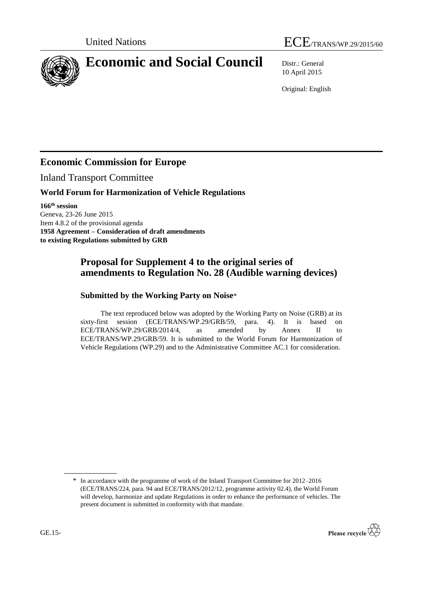



# **Economic and Social Council** Distr.: General

10 April 2015

Original: English

## **Economic Commission for Europe**

Inland Transport Committee

#### **World Forum for Harmonization of Vehicle Regulations**

**166 th session** Geneva, 23-26 June 2015 Item 4.8.2 of the provisional agenda **1958 Agreement – Consideration of draft amendments to existing Regulations submitted by GRB**

### **Proposal for Supplement 4 to the original series of amendments to Regulation No. 28 (Audible warning devices)**

#### **Submitted by the Working Party on Noise**\*

The text reproduced below was adopted by the Working Party on Noise (GRB) at its sixty-first session (ECE/TRANS/WP.29/GRB/59, para. 4). It is based on ECE/TRANS/WP.29/GRB/2014/4, as amended by Annex II to ECE/TRANS/WP.29/GRB/59. It is submitted to the World Forum for Harmonization of Vehicle Regulations (WP.29) and to the Administrative Committee AC.1 for consideration.

<sup>\*</sup> In accordance with the programme of work of the Inland Transport Committee for 2012–2016 (ECE/TRANS/224, para. 94 and ECE/TRANS/2012/12, programme activity 02.4), the World Forum will develop, harmonize and update Regulations in order to enhance the performance of vehicles. The present document is submitted in conformity with that mandate.